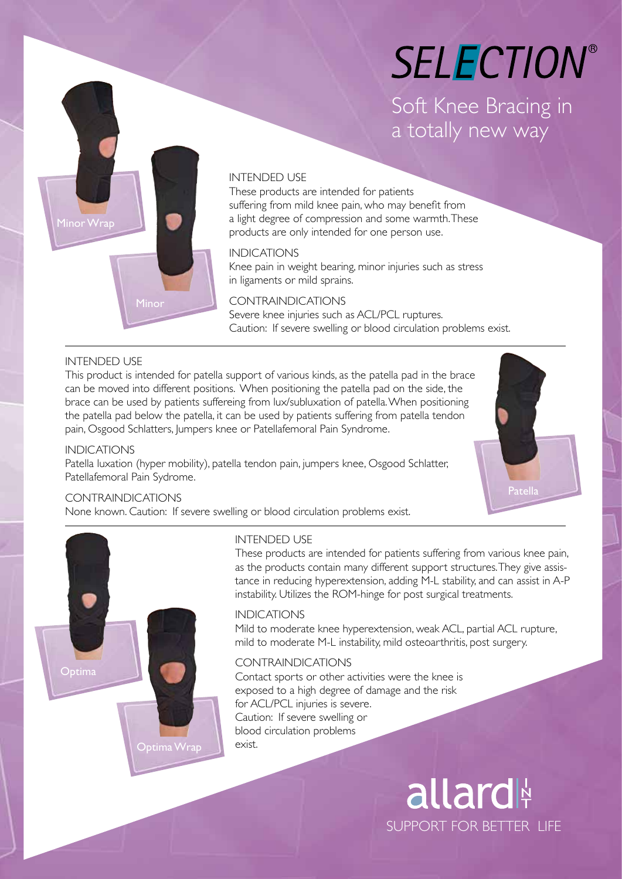# **SELECTION®**

Soft Knee Bracing in a totally new way



#### INTENDED USE

These products are intended for patients suffering from mild knee pain, who may benefit from a light degree of compression and some warmth. These products are only intended for one person use.

#### INDICATIONS

Knee pain in weight bearing, minor injuries such as stress in ligaments or mild sprains.

#### CONTRAINDICATIONS

Severe knee injuries such as ACL/PCL ruptures. Caution: If severe swelling or blood circulation problems exist.

#### INTENDED USE

This product is intended for patella support of various kinds, as the patella pad in the brace can be moved into different positions. When positioning the patella pad on the side, the brace can be used by patients suffereing from lux/subluxation of patella. When positioning the patella pad below the patella, it can be used by patients suffering from patella tendon pain, Osgood Schlatters, Jumpers knee or Patellafemoral Pain Syndrome.

#### INDICATIONS

Patella luxation (hyper mobility), patella tendon pain, jumpers knee, Osgood Schlatter, Patellafemoral Pain Sydrome.



#### CONTRAINDICATIONS

None known. Caution: If severe swelling or blood circulation problems exist.



#### INTENDED USE

These products are intended for patients suffering from various knee pain, as the products contain many different support structures. They give assistance in reducing hyperextension, adding M-L stability, and can assist in A-P instability. Utilizes the ROM-hinge for post surgical treatments.

#### INDICATIONS

Mild to moderate knee hyperextension, weak ACL, partial ACL rupture, mild to moderate M-L instability, mild osteoarthritis, post surgery.

#### CONTRAINDICATIONS

Contact sports or other activities were the knee is exposed to a high degree of damage and the risk for ACL/PCL injuries is severe. Caution: If severe swelling or blood circulation problems exist.

> allard SUPPORT FOR BETTER LIFE